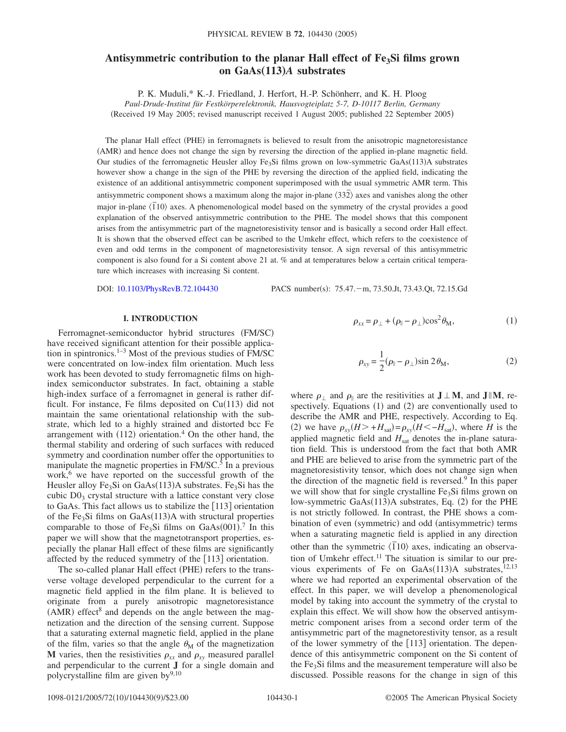# Antisymmetric contribution to the planar Hall effect of Fe<sub>3</sub>Si films grown **on GaAs**"**113**…*A* **substrates**

P. K. Muduli,\* K.-J. Friedland, J. Herfort, H.-P. Schönherr, and K. H. Ploog

*Paul-Drude-Institut für Festkörperelektronik, Hausvogteiplatz 5-7, D-10117 Berlin, Germany*

(Received 19 May 2005; revised manuscript received 1 August 2005; published 22 September 2005)

The planar Hall effect (PHE) in ferromagnets is believed to result from the anisotropic magnetoresistance (AMR) and hence does not change the sign by reversing the direction of the applied in-plane magnetic field. Our studies of the ferromagnetic Heusler alloy Fe<sub>3</sub>Si films grown on low-symmetric GaAs(113)A substrates however show a change in the sign of the PHE by reversing the direction of the applied field, indicating the existence of an additional antisymmetric component superimposed with the usual symmetric AMR term. This antisymmetric component shows a maximum along the major in-plane  $\langle 332 \rangle$  axes and vanishes along the other major in-plane  $\langle \overline{110} \rangle$  axes. A phenomenological model based on the symmetry of the crystal provides a good explanation of the observed antisymmetric contribution to the PHE. The model shows that this component arises from the antisymmetric part of the magnetoresistivity tensor and is basically a second order Hall effect. It is shown that the observed effect can be ascribed to the Umkehr effect, which refers to the coexistence of even and odd terms in the component of magnetoresistivity tensor. A sign reversal of this antisymmetric component is also found for a Si content above 21 at. % and at temperatures below a certain critical temperature which increases with increasing Si content.

DOI: [10.1103/PhysRevB.72.104430](http://dx.doi.org/10.1103/PhysRevB.72.104430)

PACS number(s): 75.47. - m, 73.50.Jt, 73.43.Qt, 72.15.Gd

## **I. INTRODUCTION**

Ferromagnet-semiconductor hybrid structures (FM/SC) have received significant attention for their possible application in spintronics.<sup>1–3</sup> Most of the previous studies of  $\overline{FM/SC}$ were concentrated on low-index film orientation. Much less work has been devoted to study ferromagnetic films on highindex semiconductor substrates. In fact, obtaining a stable high-index surface of a ferromagnet in general is rather difficult. For instance, Fe films deposited on  $Cu(113)$  did not maintain the same orientational relationship with the substrate, which led to a highly strained and distorted bcc Fe arrangement with  $(112)$  orientation.<sup>4</sup> On the other hand, the thermal stability and ordering of such surfaces with reduced symmetry and coordination number offer the opportunities to manipulate the magnetic properties in  $FM/SC$ <sup>5</sup>. In a previous work, $6$  we have reported on the successful growth of the Heusler alloy  $Fe<sub>3</sub>Si$  on  $GaAs(113)A$  substrates.  $Fe<sub>3</sub>Si$  has the cubic  $D_3$  crystal structure with a lattice constant very close to GaAs. This fact allows us to stabilize the  $[113]$  orientation of the Fe<sub>3</sub>Si films on GaAs(113)A with structural properties comparable to those of Fe<sub>3</sub>Si films on GaAs $(001)$ <sup>7</sup>. In this paper we will show that the magnetotransport properties, especially the planar Hall effect of these films are significantly affected by the reduced symmetry of the  $[113]$  orientation.

The so-called planar Hall effect (PHE) refers to the transverse voltage developed perpendicular to the current for a magnetic field applied in the film plane. It is believed to originate from a purely anisotropic magnetoresistance  $(AMR)$  effect<sup>8</sup> and depends on the angle between the magnetization and the direction of the sensing current. Suppose that a saturating external magnetic field, applied in the plane of the film, varies so that the angle  $\theta_M$  of the magnetization **M** varies, then the resistivities  $\rho_{xx}$  and  $\rho_{xy}$  measured parallel and perpendicular to the current **J** for a single domain and polycrystalline film are given  $by^{9,10}$ 

$$
\rho_{xx} = \rho_{\perp} + (\rho_{\parallel} - \rho_{\perp}) \cos^2 \theta_M, \tag{1}
$$

$$
\rho_{xy} = \frac{1}{2} (\rho_{\parallel} - \rho_{\perp}) \sin 2\theta_{\rm M},
$$
\n(2)

where  $\rho_{\perp}$  and  $\rho_{\parallel}$  are the resitivities at  $J \perp M$ , and  $J \parallel M$ , respectively. Equations (1) and (2) are conventionally used to describe the AMR and PHE, respectively. According to Eq. (2) we have  $\rho_{xy}(H > +H_{sat}) = \rho_{xy}(H < -H_{sat})$ , where *H* is the applied magnetic field and  $H<sub>sat</sub>$  denotes the in-plane saturation field. This is understood from the fact that both AMR and PHE are believed to arise from the symmetric part of the magnetoresistivity tensor, which does not change sign when the direction of the magnetic field is reversed. $9$  In this paper we will show that for single crystalline  $Fe<sub>3</sub>Si$  films grown on low-symmetric GaAs(113)A substrates, Eq. (2) for the PHE is not strictly followed. In contrast, the PHE shows a combination of even (symmetric) and odd (antisymmetric) terms when a saturating magnetic field is applied in any direction other than the symmetric  $\langle 110 \rangle$  axes, indicating an observation of Umkehr effect.<sup>11</sup> The situation is similar to our previous experiments of Fe on GaAs $(113)$ A substrates,<sup>12,13</sup> where we had reported an experimental observation of the effect. In this paper, we will develop a phenomenological model by taking into account the symmetry of the crystal to explain this effect. We will show how the observed antisymmetric component arises from a second order term of the antisymmetric part of the magnetorestivity tensor, as a result of the lower symmetry of the  $[113]$  orientation. The dependence of this antisymmetric component on the Si content of the  $Fe<sub>3</sub>Si$  films and the measurement temperature will also be discussed. Possible reasons for the change in sign of this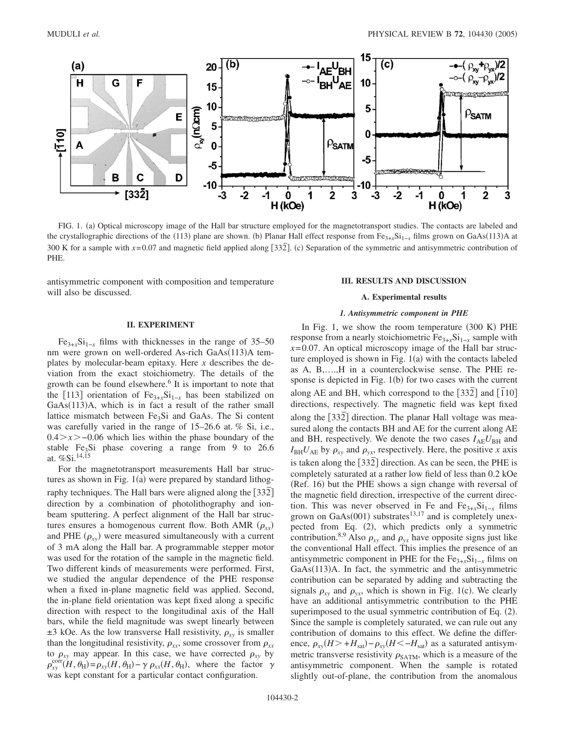

FIG. 1. (a) Optical microscopy image of the Hall bar structure employed for the magnetotransport studies. The contacts are labeled and the crystallographic directions of the (113) plane are shown. (b) Planar Hall effect response from Fe<sub>3+*x*</sub>Si<sub>1−*x*</sub> films grown on GaAs(113)A at 300 K for a sample with  $x=0.07$  and magnetic field applied along [332<sup></sup>]. (c) Separation of the symmetric and antisymmetric contribution of PHE.

antisymmetric component with composition and temperature will also be discussed.

#### **III. RESULTS AND DISCUSSION**

*1. Antisymmetric component in PHE* In Fig. 1, we show the room temperature (300 K) PHE

# **A. Experimental results**

## **II. EXPERIMENT**

 $Fe_{3+x}Si_{1-x}$  films with thicknesses in the range of 35–50 nm were grown on well-ordered As-rich GaAs(113)A templates by molecular-beam epitaxy. Here *x* describes the deviation from the exact stoichiometry. The details of the growth can be found elsewhere.<sup>6</sup> It is important to note that the [113] orientation of  $Fe_{3+x}Si_{1-x}$  has been stabilized on GaAs(113)A, which is in fact a result of the rather small lattice mismatch between  $Fe<sub>3</sub>Si$  and GaAs. The Si content was carefully varied in the range of 15–26.6 at. % Si, i.e., 0.4*x*−0.06 which lies within the phase boundary of the stable Fe<sub>3</sub>Si phase covering a range from  $9$  to 26.6 at. %Si.14,15

For the magnetotransport measurements Hall bar structures as shown in Fig.  $1(a)$  were prepared by standard lithography techniques. The Hall bars were aligned along the [332] direction by a combination of photolithography and ionbeam sputtering. A perfect alignment of the Hall bar structures ensures a homogenous current flow. Both AMR  $(\rho_{xx})$ and PHE  $(\rho_{xy})$  were measured simultaneously with a current of 3 mA along the Hall bar. A programmable stepper motor was used for the rotation of the sample in the magnetic field. Two different kinds of measurements were performed. First, we studied the angular dependence of the PHE response when a fixed in-plane magnetic field was applied. Second, the in-plane field orientation was kept fixed along a specific direction with respect to the longitudinal axis of the Hall bars, while the field magnitude was swept linearly between  $\pm$ 3 kOe. As the low transverse Hall resistivity,  $\rho_{xy}$  is smaller than the longitudinal resistivity,  $\rho_{xx}$ , some crossover from  $\rho_{xx}$ to  $\rho_{xy}$  may appear. In this case, we have corrected  $\rho_{xy}$  by  $\rho_{xy}^{\text{corr}}(H,\theta_H) = \rho_{xy}(H,\theta_H) - \gamma \rho_{xx}(H,\theta_H)$ , where the factor  $\gamma$ was kept constant for a particular contact configuration.

response from a nearly stoichiometric  $Fe_{3+r}Si_{1-r}$  sample with *x*=0.07. An optical microscopy image of the Hall bar structure employed is shown in Fig.  $1(a)$  with the contacts labeled as A, B,….,H in a counterclockwise sense. The PHE response is depicted in Fig.  $1(b)$  for two cases with the current along AE and BH, which correspond to the  $[33\overline{2}]$  and  $[110]$ directions, respectively. The magnetic field was kept fixed along the [332] direction. The planar Hall voltage was measured along the contacts BH and AE for the current along AE and BH, respectively. We denote the two cases  $I_{AE}U_{BH}$  and  $I_{BH}U_{AE}$  by  $\rho_{xy}$  and  $\rho_{yx}$ , respectively. Here, the positive *x* axis is taken along the  $\left[33\overline{2}\right]$  direction. As can be seen, the PHE is completely saturated at a rather low field of less than 0.2 kOe (Ref. 16) but the PHE shows a sign change with reversal of the magnetic field direction, irrespective of the current direction. This was never observed in Fe and  $Fe_{3+x}Si_{1-x}$  films grown on GaAs $(001)$  substrates<sup>13,17</sup> and is completely unexpected from Eq. (2), which predicts only a symmetric contribution.<sup>8,9</sup> Also  $\rho_{xy}$  and  $\rho_{yx}$  have opposite signs just like the conventional Hall effect. This implies the presence of an antisymmetric component in PHE for the  $Fe_{3+x}Si_{1-x}$  films on GaAs(113)A. In fact, the symmetric and the antisymmetric contribution can be separated by adding and subtracting the signals  $\rho_{xy}$  and  $\rho_{yx}$ , which is shown in Fig. 1(c). We clearly have an additional antisymmetric contribution to the PHE superimposed to the usual symmetric contribution of Eq.  $(2)$ . Since the sample is completely saturated, we can rule out any contribution of domains to this effect. We define the difference,  $\rho_{xy}(H > +H_{sat}) - \rho_{xy}(H < -H_{sat})$  as a saturated antisymmetric transverse resistivity  $\rho_{\text{SATM}}$ , which is a measure of the antisymmetric component. When the sample is rotated

slightly out-of-plane, the contribution from the anomalous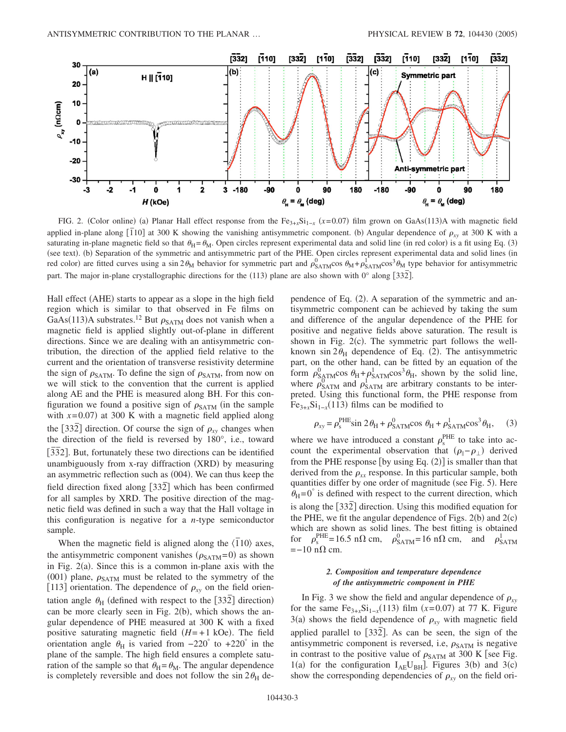

FIG. 2. (Color online) (a) Planar Hall effect response from the Fe<sub>3+*x*</sub>Si<sub>1−*x*</sub> (*x*=0.07) film grown on GaAs(113)A with magnetic field applied in-plane along  $\overline{[110]}$  at 300 K showing the vanishing antisymmetric component. (b) Angular dependence of  $\rho_{xy}$  at 300 K with a saturating in-plane magnetic field so that  $\theta_H = \theta_M$ . Open circles represent experimental data and solid line (in red color) is a fit using Eq. (3) (see text). (b) Separation of the symmetric and antisymmetric part of the PHE. Open circles represent experimental data and solid lines (in red color) are fitted curves using a sin  $2\theta_M$  behavior for symmetric part and  $\rho_{SATM}^0 \cos \theta_M + \rho_{SATM}^1 \cos^3 \theta_M$  type behavior for antisymmetric part. The major in-plane crystallographic directions for the (113) plane are also shown with 0° along [332].

Hall effect (AHE) starts to appear as a slope in the high field region which is similar to that observed in Fe films on GaAs(113)A substrates.<sup>12</sup> But  $\rho_{\text{SATM}}$  does not vanish when a magnetic field is applied slightly out-of-plane in different directions. Since we are dealing with an antisymmetric contribution, the direction of the applied field relative to the current and the orientation of transverse resistivity determine the sign of  $\rho_{\text{SATM}}$ . To define the sign of  $\rho_{\text{SATM}}$ , from now on we will stick to the convention that the current is applied along AE and the PHE is measured along BH. For this configuration we found a positive sign of  $\rho_{\text{SATM}}$  (in the sample with  $x=0.07$ ) at 300 K with a magnetic field applied along the [332] direction. Of course the sign of  $\rho_{xy}$  changes when the direction of the field is reversed by 180°, i.e., toward **The direction** of the next is followed by food, not, to the a unambiguously from x-ray diffraction (XRD) by measuring an asymmetric reflection such as (004). We can thus keep the field direction fixed along  $\lceil 33\overline{2} \rceil$  which has been confirmed for all samples by XRD. The positive direction of the magnetic field was defined in such a way that the Hall voltage in this configuration is negative for a *n*-type semiconductor sample.

When the magnetic field is aligned along the  $\langle \overline{1}10 \rangle$  axes, the antisymmetric component vanishes  $(\rho_{\text{SATM}}=0)$  as shown in Fig. 2(a). Since this is a common in-plane axis with the (001) plane,  $\rho_{\text{SATM}}$  must be related to the symmetry of the [113] orientation. The dependence of  $\rho_{xy}$  on the field orientation angle  $\theta_H$  (defined with respect to the  $\left[33\overline{2}\right]$  direction) can be more clearly seen in Fig.  $2(b)$ , which shows the angular dependence of PHE measured at 300 K with a fixed positive saturating magnetic field  $(H = +1 \text{ kOe})$ . The field orientation angle  $\theta_H$  is varied from  $-220^\circ$  to  $+220^\circ$  in the plane of the sample. The high field ensures a complete saturation of the sample so that  $\theta_H = \theta_M$ . The angular dependence is completely reversible and does not follow the  $\sin 2\theta_H$  de-

pendence of Eq. (2). A separation of the symmetric and antisymmetric component can be achieved by taking the sum and difference of the angular dependence of the PHE for positive and negative fields above saturation. The result is shown in Fig.  $2(c)$ . The symmetric part follows the wellknown sin  $2\theta_H$  dependence of Eq. (2). The antisymmetric part, on the other hand, can be fitted by an equation of the form  $\rho_{\text{SATM}}^0 \cos \theta_H + \rho_{\text{SATM}}^1 \cos^3 \theta_H$ , shown by the solid line, where  $\rho_{\text{SATM}}^{0}$  and  $\rho_{\text{SATM}}^{1}$  are arbitrary constants to be interpreted. Using this functional form, the PHE response from  $Fe_{3+x}Si_{1-x}(113)$  films can be modified to

$$
\rho_{xy} = \rho_s^{\text{PHE}} \sin 2\theta_H + \rho_{\text{SATM}}^0 \cos \theta_H + \rho_{\text{SATM}}^1 \cos^3 \theta_H, \quad (3)
$$

where we have introduced a constant  $\rho_s^{\text{PHE}}$  to take into account the experimental observation that  $(\rho_{\parallel} - \rho_{\perp})$  derived from the PHE response [by using Eq.  $(2)$ ] is smaller than that derived from the  $\rho_{xx}$  response. In this particular sample, both quantities differ by one order of magnitude (see Fig. 5). Here  $\theta_H = 0^\circ$  is defined with respect to the current direction, which is along the 332*¯* direction. Using this modified equation for the PHE, we fit the angular dependence of Figs.  $2(b)$  and  $2(c)$ which are shown as solid lines. The best fitting is obtained for  $\rho_s^{\text{PHE}} = 16.5 \text{ n}\Omega \text{ cm}, \rho_{\text{SATM}}^0 = 16 \text{ n}\Omega \text{ cm}, \text{ and } \rho_{\text{SATM}}^1$  $=-10$  n $\Omega$  cm.

## *2. Composition and temperature dependence of the antisymmetric component in PHE*

In Fig. 3 we show the field and angular dependence of  $\rho_{xy}$ for the same  $Fe_{3+x}Si_{1-x}(113)$  film  $(x=0.07)$  at 77 K. Figure  $3(a)$  shows the field dependence of  $\rho_{xy}$  with magnetic field applied parallel to [332]. As can be seen, the sign of the antisymmetric component is reversed, i.e,  $\rho_{\text{SATM}}$  is negative in contrast to the positive value of  $\rho_{\text{SATM}}$  at 300 K [see Fig. 1(a) for the configuration  $I_{AE}U_{BH}$ ]. Figures 3(b) and 3(c) show the corresponding dependencies of  $\rho_{xy}$  on the field ori-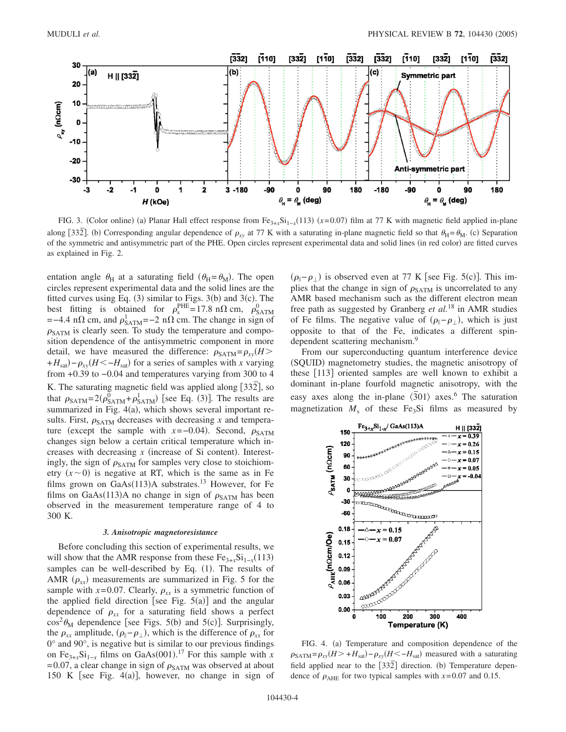

FIG. 3. (Color online) (a) Planar Hall effect response from  $Fe_{3+x}Si_{1-x}(113)$  ( $x=0.07$ ) film at 77 K with magnetic field applied in-plane along [332]. (b) Corresponding angular dependence of  $\rho_{xy}$  at 77 K with a saturating in-plane magnetic field so that  $\theta_H = \theta_M$ . (c) Separation of the symmetric and antisymmetric part of the PHE. Open circles represent experimental data and solid lines (in red color) are fitted curves as explained in Fig. 2.

entation angle  $\theta_H$  at a saturating field  $(\theta_H = \theta_M)$ . The open circles represent experimental data and the solid lines are the fitted curves using Eq.  $(3)$  similar to Figs. 3(b) and 3(c). The best fitting is obtained for  $\rho_s^{\text{PHE}} = 17.8 \text{ n}\Omega \text{ cm}, \rho_{\text{SATM}}^0$  $=-4.4$  n $\Omega$  cm, and  $\rho_{\text{SATM}}^1 = -2$  n $\Omega$  cm. The change in sign of  $\rho_{\text{SATM}}$  is clearly seen. To study the temperature and composition dependence of the antisymmetric component in more detail, we have measured the difference:  $\rho_{\text{SATM}} = \rho_{xy} (H)$  $+H_{\text{sat}}$ ) –  $\rho_{xy}$ (*H* < −*H*<sub>sat</sub>) for a series of samples with *x* varying from +0.39 to −0.04 and temperatures varying from 300 to 4 K. The saturating magnetic field was applied along [332], so that  $\rho_{\text{SATM}} = 2(\rho_{\text{SATM}}^0 + \rho_{\text{SATM}}^1)$  [see Eq. (3)]. The results are summarized in Fig. 4(a), which shows several important results. First,  $\rho_{\text{SATM}}$  decreases with decreasing *x* and temperature (except the sample with  $x = -0.04$ ). Second,  $\rho_{\text{SATM}}$ changes sign below a certain critical temperature which increases with decreasing  $x$  (increase of Si content). Interestingly, the sign of  $\rho_{\text{SATM}}$  for samples very close to stoichiometry  $(x \sim 0)$  is negative at RT, which is the same as in Fe films grown on  $GaAs(113)A$  substrates.<sup>13</sup> However, for Fe films on GaAs(113)A no change in sign of  $\rho_{\text{SATM}}$  has been observed in the measurement temperature range of 4 to 300 K.

## *3. Anisotropic magnetoresistance*

Before concluding this section of experimental results, we will show that the AMR response from these  $Fe_{3+x}Si_{1-x}(113)$ samples can be well-described by Eq. (1). The results of AMR  $(\rho_{xx})$  measurements are summarized in Fig. 5 for the sample with  $x=0.07$ . Clearly,  $\rho_{xx}$  is a symmetric function of the applied field direction [see Fig.  $5(a)$ ] and the angular dependence of  $\rho_{xx}$  for a saturating field shows a perfect  $\cos^2\theta_M$  dependence [see Figs. 5(b) and 5(c)]. Surprisingly, the  $\rho_{xx}$  amplitude,  $(\rho_{\parallel} - \rho_{\perp})$ , which is the difference of  $\rho_{xx}$  for 0° and 90°, is negative but is similar to our previous findings on Fe<sub>3+x</sub>Si<sub>1-x</sub> films on GaAs(001).<sup>17</sup> For this sample with *x* =0.07, a clear change in sign of  $\rho_{\text{SATM}}$  was observed at about 150 K [see Fig.  $4(a)$ ], however, no change in sign of

 $(\rho_{\parallel} - \rho_{\perp})$  is observed even at 77 K [see Fig. 5(c)]. This implies that the change in sign of  $\rho_{\text{SATM}}$  is uncorrelated to any AMR based mechanism such as the different electron mean free path as suggested by Granberg *et al.*<sup>18</sup> in AMR studies of Fe films. The negative value of  $(\rho_{\parallel} - \rho_{\perp})$ , which is just opposite to that of the Fe, indicates a different spindependent scattering mechanism.<sup>9</sup>

From our superconducting quantum interference device (SQUID) magnetometry studies, the magnetic anisotropy of these [113] oriented samples are well known to exhibit a dominant in-plane fourfold magnetic anisotropy, with the easy axes along the in-plane  $\langle 301 \rangle$  axes.<sup>6</sup> The saturation magnetization  $M_s$  of these Fe<sub>3</sub>Si films as measured by



FIG. 4. (a) Temperature and composition dependence of the  $\rho_{\text{SATM}} = \rho_{xy} (H > +H_{\text{sat}}) - \rho_{xy} (H < -H_{\text{sat}})$  measured with a saturating field applied near to the  $[33\overline{2}]$  direction. (b) Temperature dependence of  $\rho_{AHE}$  for two typical samples with  $x=0.07$  and 0.15.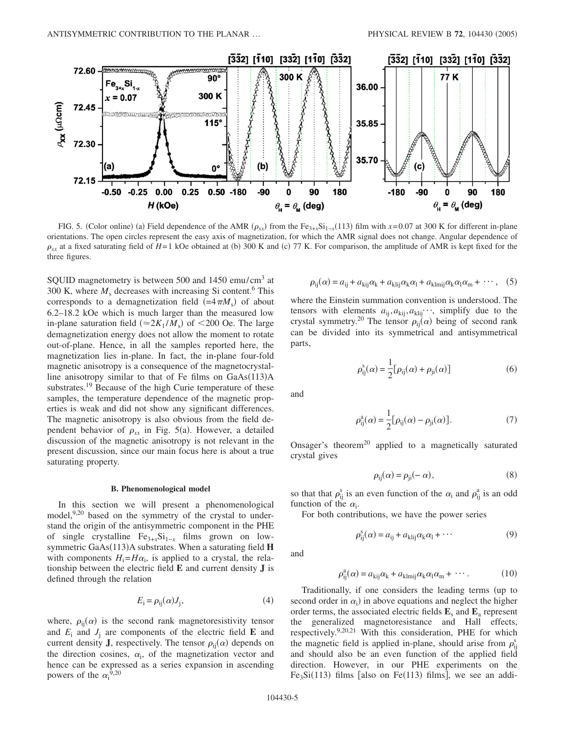

FIG. 5. (Color online) (a) Field dependence of the AMR  $(\rho_{xx})$  from the Fe<sub>3+*x*</sub>Si<sub>1-*x*</sub>(113) film with *x*=0.07 at 300 K for different in-plane orientations. The open circles represent the easy axis of magnetization, for which the AMR signal does not change. Angular dependence of  $\rho_{xx}$  at a fixed saturating field of *H*=1 kOe obtained at (b) 300 K and (c) 77 K. For comparison, the amplitude of AMR is kept fixed for the three figures.

SQUID magnetometry is between 500 and 1450 emu/cm<sup>3</sup> at 300 K, where  $M_s$  decreases with increasing Si content.<sup>6</sup> This corresponds to a demagnetization field  $(=4\pi M<sub>s</sub>)$  of about 6.2–18.2 kOe which is much larger than the measured low in-plane saturation field  $(\simeq 2K_1/M_s)$  of <200 Oe. The large demagnetization energy does not allow the moment to rotate out-of-plane. Hence, in all the samples reported here, the magnetization lies in-plane. In fact, the in-plane four-fold magnetic anisotropy is a consequence of the magnetocrystalline anisotropy similar to that of Fe films on GaAs(113)A substrates.<sup>19</sup> Because of the high Curie temperature of these samples, the temperature dependence of the magnetic properties is weak and did not show any significant differences. The magnetic anisotropy is also obvious from the field dependent behavior of  $\rho_{xx}$  in Fig. 5(a). However, a detailed discussion of the magnetic anisotropy is not relevant in the present discussion, since our main focus here is about a true saturating property.

#### **B. Phenomenological model**

In this section we will present a phenomenological model,<sup>9,20</sup> based on the symmetry of the crystal to understand the origin of the antisymmetric component in the PHE of single crystalline Fe<sub>3+*x*</sub>Si<sub>1−*x*</sub> films grown on lowsymmetric GaAs(113)A substrates. When a saturating field H with components  $H_i = H\alpha_i$ , is applied to a crystal, the relationship between the electric field **E** and current density **J** is defined through the relation

$$
E_{\rm i} = \rho_{\rm ij}(\alpha) J_{\rm j},\tag{4}
$$

where,  $\rho_{ij}(\alpha)$  is the second rank magnetoresistivity tensor and  $E_i$  and  $J_i$  are components of the electric field **E** and current density **J**, respectively. The tensor  $\rho_{ij}(\alpha)$  depends on the direction cosines,  $\alpha_i$ , of the magnetization vector and hence can be expressed as a series expansion in ascending powers of the  $\alpha_i^{9,20}$ 

$$
\rho_{ij}(\alpha) = a_{ij} + a_{kij}\alpha_k + a_{klij}\alpha_k\alpha_l + a_{klmij}\alpha_k\alpha_l\alpha_m + \cdots, \quad (5)
$$

where the Einstein summation convention is understood. The tensors with elements  $a_{ij}, a_{kij}, a_{klij} \cdots$ , simplify due to the crystal symmetry.<sup>20</sup> The tensor  $\rho_{ij}(\alpha)$  being of second rank can be divided into its symmetrical and antisymmetrical parts,

$$
\rho_{ij}^s(\alpha) = \frac{1}{2} [\rho_{ij}(\alpha) + \rho_{ji}(\alpha)] \tag{6}
$$

and

$$
\rho_{ij}^{a}(\alpha) = \frac{1}{2} [\rho_{ij}(\alpha) - \rho_{ji}(\alpha)].
$$
\n(7)

Onsager's theorem<sup>20</sup> applied to a magnetically saturated crystal gives

$$
\rho_{ij}(\alpha) = \rho_{ji}(-\alpha),\tag{8}
$$

so that that  $\rho_{ij}^s$  is an even function of the  $\alpha_i$  and  $\rho_{ij}^a$  is an odd function of the  $\alpha_i$ .

For both contributions, we have the power series

$$
\rho_{ij}^s(\alpha) = a_{ij} + a_{klij}\alpha_k\alpha_l + \cdots \tag{9}
$$

and

$$
\rho_{ij}^a(\alpha) = a_{kij}\alpha_k + a_{klmij}\alpha_k\alpha_l\alpha_m + \cdots. \qquad (10)
$$

Traditionally, if one considers the leading terms (up to second order in  $\alpha_i$ ) in above equations and neglect the higher order terms, the associated electric fields  $\mathbf{E}_s$  and  $\mathbf{E}_a$  represent the generalized magnetoresistance and Hall effects, respectively.9,20,21 With this consideration, PHE for which the magnetic field is applied in-plane, should arise from  $\rho_{ij}^s$ and should also be an even function of the applied field direction. However, in our PHE experiments on the  $Fe<sub>3</sub>Si(113)$  films [also on Fe(113) films], we see an addi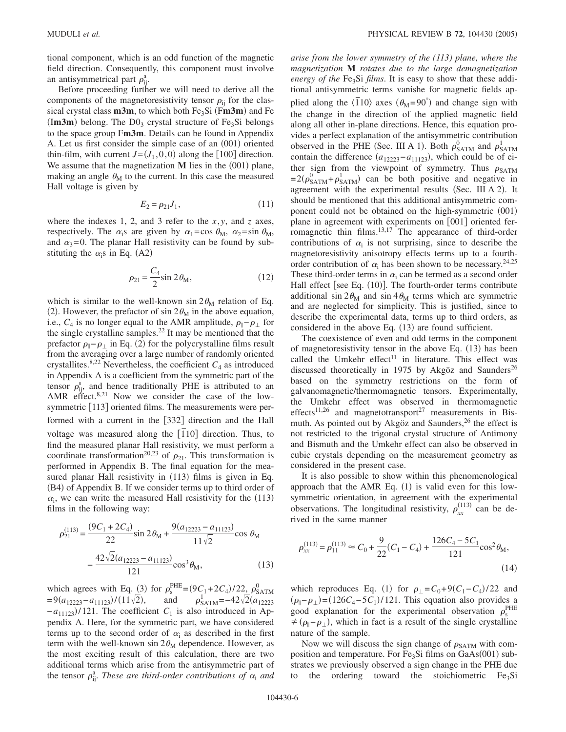tional component, which is an odd function of the magnetic field direction. Consequently, this component must involve an antisymmetrical part  $\rho_{ij}^a$ .

Before proceeding further we will need to derive all the components of the magnetoresistivity tensor  $\rho_{ii}$  for the classical crystal class **m3m**, to which both Fe<sub>3</sub>Si (Fm3m) and Fe  $(Im3m)$  belong. The  $D0<sub>3</sub>$  crystal structure of Fe<sub>3</sub>Si belongs to the space group F**m3m**. Details can be found in Appendix A. Let us first consider the simple case of an (001) oriented thin-film, with current  $J = (J_1, 0, 0)$  along the [100] direction. We assume that the magnetization  $M$  lies in the  $(001)$  plane, making an angle  $\theta_M$  to the current. In this case the measured Hall voltage is given by

$$
E_2 = \rho_{21} J_1,\tag{11}
$$

where the indexes 1, 2, and 3 refer to the *x*, *y*, and *z* axes, respectively. The  $\alpha_i$ s are given by  $\alpha_1 = \cos \theta_M$ ,  $\alpha_2 = \sin \theta_M$ , and  $\alpha_3=0$ . The planar Hall resistivity can be found by substituting the  $\alpha_i$ s in Eq. (A2)

$$
\rho_{21} = \frac{C_4}{2} \sin 2\theta_M,
$$
\n(12)

which is similar to the well-known  $sin 2\theta_M$  relation of Eq. (2). However, the prefactor of sin  $2\theta_M$  in the above equation, i.e.,  $C_4$  is no longer equal to the AMR amplitude,  $\rho_{\parallel} - \rho_{\perp}$  for the single crystalline samples. $^{22}$  It may be mentioned that the prefactor  $\rho_{\parallel}$  –  $\rho_{\perp}$  in Eq. (2) for the polycrystalline films result from the averaging over a large number of randomly oriented crystallites.<sup>8,22</sup> Nevertheless, the coefficient  $C_4$  as introduced in Appendix A is a coefficient from the symmetric part of the tensor  $\rho_{ij}^s$ , and hence traditionally PHE is attributed to an AMR effect.<sup>8,21</sup> Now we consider the case of the lowsymmetric [113] oriented films. The measurements were performed with a current in the [332] direction and the Hall voltage was measured along the  $\overline{[110]}$  direction. Thus, to find the measured planar Hall resistivity, we must perform a coordinate transformation<sup>20,23</sup> of  $\rho_{21}$ . This transformation is performed in Appendix B. The final equation for the measured planar Hall resistivity in (113) films is given in Eq. (B4) of Appendix B. If we consider terms up to third order of  $\alpha_i$ , we can write the measured Hall resistivity for the (113) films in the following way:

$$
\rho_{21}^{(113)} = \frac{(9C_1 + 2C_4)}{22} \sin 2\theta_M + \frac{9(a_{12223} - a_{11123})}{11\sqrt{2}} \cos \theta_M
$$

$$
- \frac{42\sqrt{2}(a_{12223} - a_{11123})}{121} \cos^3 \theta_M, \qquad (13)
$$

which agrees with Eq. (3) for  $\rho_s^{\text{PHE}} = (9C_1 + 2C_4)/22 \frac{1}{2} \rho_{\text{SATM}}^0$  $=9(a_{12223}-a_{11123})/(11\sqrt{2}),$  and  $\rho_{\text{SATM}}^{1} = -42\sqrt{2}(a_{12223}-a_{11123})/(11\sqrt{2})$  $-a_{11123}$ )/121. The coefficient  $C_1$  is also introduced in Appendix A. Here, for the symmetric part, we have considered terms up to the second order of  $\alpha_i$  as described in the first term with the well-known  $\sin 2\theta_M$  dependence. However, as the most exciting result of this calculation, there are two additional terms which arise from the antisymmetric part of the tensor  $\rho_{ij}^a$ . *These are third-order contributions of*  $\alpha_i$  *and* 

*arise from the lower symmetry of the (113) plane, where the magnetization* **M** *rotates due to the large demagnetization energy of the* Fe<sub>3</sub>Si *films*. It is easy to show that these additional antisymmetric terms vanishe for magnetic fields applied along the  $\langle \overline{1}10 \rangle$  axes  $(\theta_M = 90^\circ)$  and change sign with the change in the direction of the applied magnetic field along all other in-plane directions. Hence, this equation provides a perfect explanation of the antisymmetric contribution observed in the PHE (Sec. III A 1). Both  $\rho_{\text{SATM}}^0$  and  $\rho_{\text{SATM}}^1$ contain the difference  $(a_{12223} - a_{11123})$ , which could be of either sign from the viewpoint of symmetry. Thus  $\rho_{\text{SATM}}$  $=2(\rho_{\text{SATM}}^0+\rho_{\text{SATM}}^1)$  can be both positive and negative in agreement with the experimental results (Sec. III A 2). It should be mentioned that this additional antisymmetric component could not be obtained on the high-symmetric (001) plane in agreement with experiments on  $[001]$  oriented ferromagnetic thin films.<sup>13,17</sup> The appearance of third-order contributions of  $\alpha_i$  is not surprising, since to describe the magnetoresistivity anisotropy effects terms up to a fourthorder contribution of  $\alpha_i$  has been shown to be necessary.<sup>24,25</sup> These third-order terms in  $\alpha_i$  can be termed as a second order Hall effect [see Eq. (10)]. The fourth-order terms contribute additional sin  $2\theta_M$  and sin  $4\theta_M$  terms which are symmetric and are neglected for simplicity. This is justified, since to describe the experimental data, terms up to third orders, as considered in the above Eq.  $(13)$  are found sufficient.

The coexistence of even and odd terms in the component of magnetoresistivity tensor in the above Eq. (13) has been called the Umkehr effect<sup>11</sup> in literature. This effect was discussed theoretically in 1975 by Akgöz and Saunders<sup>26</sup> based on the symmetry restrictions on the form of galvanomagnetic/thermomagnetic tensors. Experimentally, the Umkehr effect was observed in thermomagnetic effects<sup>11,26</sup> and magnetotransport<sup>27</sup> measurements in Bismuth. As pointed out by Akgöz and Saunders,  $26$  the effect is not restricted to the trigonal crystal structure of Antimony and Bismuth and the Umkehr effect can also be observed in cubic crystals depending on the measurement geometry as considered in the present case.

It is also possible to show within this phenomenological approach that the AMR Eq. (1) is valid even for this lowsymmetric orientation, in agreement with the experimental observations. The longitudinal resistivity,  $\rho_{xx}^{(113)}$  can be derived in the same manner

$$
\rho_{xx}^{(113)} = \rho_{11}^{(113)} \approx C_0 + \frac{9}{22}(C_1 - C_4) + \frac{126C_4 - 5C_1}{121}\cos^2\theta_M,
$$
\n(14)

which reproduces Eq. (1) for  $\rho_{\perp} = C_0 + 9(C_1 - C_4)/22$  and  $(\rho_{\parallel} - \rho_{\perp}) = (126C_4 - 5C_1)/121$ . This equation also provides a good explanation for the experimental observation  $\rho_s^{\text{PHE}}$  $\neq (\rho_{\parallel} - \rho_{\perp})$ , which in fact is a result of the single crystalline nature of the sample.

Now we will discuss the sign change of  $\rho_{\text{SATM}}$  with composition and temperature. For Fe<sub>3</sub>Si films on GaAs(001) substrates we previously observed a sign change in the PHE due to the ordering toward the stoichiometric  $Fe<sub>3</sub>Si$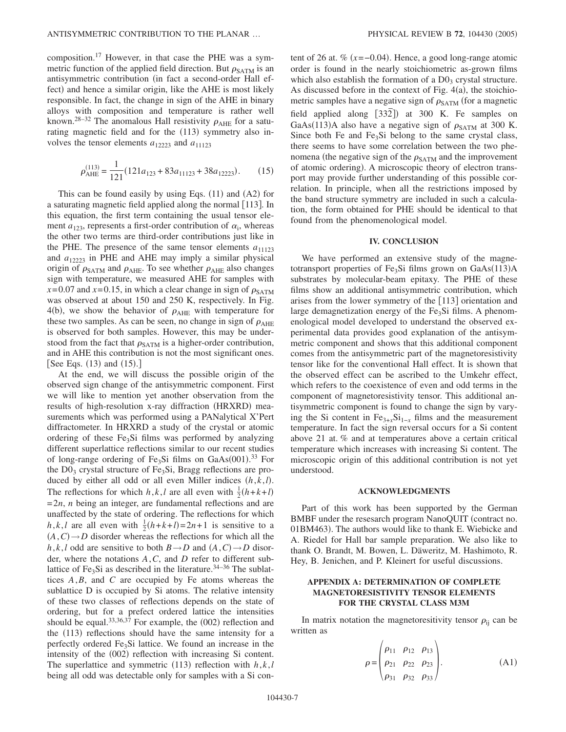composition.17 However, in that case the PHE was a symmetric function of the applied field direction. But  $\rho_{\text{SATM}}$  is an antisymmetric contribution (in fact a second-order Hall effect) and hence a similar origin, like the AHE is most likely responsible. In fact, the change in sign of the AHE in binary alloys with composition and temperature is rather well known.<sup>28–32</sup> The anomalous Hall resistivity  $\rho_{AHE}$  for a saturating magnetic field and for the (113) symmetry also involves the tensor elements  $a_{12223}$  and  $a_{11123}$ 

$$
\rho_{\text{AHE}}^{(113)} = \frac{1}{121} (121a_{123} + 83a_{11123} + 38a_{12223}).\tag{15}
$$

This can be found easily by using Eqs.  $(11)$  and  $(A2)$  for a saturating magnetic field applied along the normal [113]. In this equation, the first term containing the usual tensor element  $a_{123}$ , represents a first-order contribution of  $\alpha_i$ , whereas the other two terms are third-order contributions just like in the PHE. The presence of the same tensor elements  $a_{11123}$ and  $a_{12223}$  in PHE and AHE may imply a similar physical origin of  $\rho_{\text{SATM}}$  and  $\rho_{\text{AHE}}$ . To see whether  $\rho_{\text{AHE}}$  also changes sign with temperature, we measured AHE for samples with  $x=0.07$  and  $x=0.15$ , in which a clear change in sign of  $\rho_{\text{SATM}}$ was observed at about 150 and 250 K, respectively. In Fig. 4(b), we show the behavior of  $\rho_{AHE}$  with temperature for these two samples. As can be seen, no change in sign of  $\rho_{AHE}$ is observed for both samples. However, this may be understood from the fact that  $\rho_{\text{SATM}}$  is a higher-order contribution, and in AHE this contribution is not the most significant ones. [See Eqs.  $(13)$  and  $(15)$ .]

At the end, we will discuss the possible origin of the observed sign change of the antisymmetric component. First we will like to mention yet another observation from the results of high-resolution x-ray diffraction (HRXRD) measurements which was performed using a PANalytical X'Pert diffractometer. In HRXRD a study of the crystal or atomic ordering of these  $Fe<sub>3</sub>Si$  films was performed by analyzing different superlattice reflections similar to our recent studies of long-range ordering of  $Fe<sub>3</sub>Si$  films on  $GaAs(001).^{33}$  For the  $D_0$  crystal structure of Fe<sub>3</sub>Si, Bragg reflections are produced by either all odd or all even Miller indices  $(h, k, l)$ . The reflections for which  $h, k, l$  are all even with  $\frac{1}{2}(h+k+l)$ =2*n*, *n* being an integer, are fundamental reflections and are unaffected by the state of ordering. The reflections for which  $h, k, l$  are all even with  $\frac{1}{2}(h+k+l)=2n+1$  is sensitive to a  $(A, C) \rightarrow D$  disorder whereas the reflections for which all the *h*,*k*,*l* odd are sensitive to both *B*  $\rightarrow$  *D* and  $(A, C) \rightarrow D$  disorder, where the notations *A*,*C*, and *D* refer to different sublattice of Fe<sub>3</sub>Si as described in the literature.<sup>34–36</sup> The sublattices *A*,*B*, and *C* are occupied by Fe atoms whereas the sublattice D is occupied by Si atoms. The relative intensity of these two classes of reflections depends on the state of ordering, but for a prefect ordered lattice the intensities should be equal.<sup>33,36,37</sup> For example, the  $(002)$  reflection and the (113) reflections should have the same intensity for a perfectly ordered  $Fe<sub>3</sub>Si$  lattice. We found an increase in the intensity of the (002) reflection with increasing Si content. The superlattice and symmetric  $(113)$  reflection with  $h, k, l$ being all odd was detectable only for samples with a Si con-

tent of 26 at.  $\%$  ( $x = -0.04$ ). Hence, a good long-range atomic order is found in the nearly stoichiometric as-grown films which also establish the formation of a  $D0<sub>3</sub>$  crystal structure. As discussed before in the context of Fig.  $4(a)$ , the stoichiometric samples have a negative sign of  $\rho_{\text{SATM}}$  (for a magnetic field applied along  $[33\overline{2}]$  at 300 K. Fe samples on GaAs(113)A also have a negative sign of  $\rho_{\text{SATM}}$  at 300 K. Since both Fe and  $Fe<sub>3</sub>Si$  belong to the same crystal class, there seems to have some correlation between the two phenomena (the negative sign of the  $\rho_{\text{SATM}}$  and the improvement of atomic ordering). A microscopic theory of electron transport may provide further understanding of this possible correlation. In principle, when all the restrictions imposed by the band structure symmetry are included in such a calculation, the form obtained for PHE should be identical to that found from the phenomenological model.

### **IV. CONCLUSION**

We have performed an extensive study of the magnetotransport properties of  $Fe<sub>3</sub>Si$  films grown on  $GaAs(113)A$ substrates by molecular-beam epitaxy. The PHE of these films show an additional antisymmetric contribution, which arises from the lower symmetry of the [113] orientation and large demagnetization energy of the  $Fe<sub>3</sub>Si$  films. A phenomenological model developed to understand the observed experimental data provides good explanation of the antisymmetric component and shows that this additional component comes from the antisymmetric part of the magnetoresistivity tensor like for the conventional Hall effect. It is shown that the observed effect can be ascribed to the Umkehr effect, which refers to the coexistence of even and odd terms in the component of magnetoresistivity tensor. This additional antisymmetric component is found to change the sign by varying the Si content in  $Fe_{3+x}Si_{1-x}$  films and the measurement temperature. In fact the sign reversal occurs for a Si content above 21 at. % and at temperatures above a certain critical temperature which increases with increasing Si content. The microscopic origin of this additional contribution is not yet understood.

### **ACKNOWLEDGMENTS**

Part of this work has been supported by the German BMBF under the resesarch program NanoQUIT (contract no. 01BM463). The authors would like to thank E. Wiebicke and A. Riedel for Hall bar sample preparation. We also like to thank O. Brandt, M. Bowen, L. Däweritz, M. Hashimoto, R. Hey, B. Jenichen, and P. Kleinert for useful discussions.

# **APPENDIX A: DETERMINATION OF COMPLETE MAGNETORESISTIVITY TENSOR ELEMENTS FOR THE CRYSTAL CLASS M3M**

In matrix notation the magnetoresitivity tensor  $\rho_{ij}$  can be written as

$$
\rho = \begin{pmatrix} \rho_{11} & \rho_{12} & \rho_{13} \\ \rho_{21} & \rho_{22} & \rho_{23} \\ \rho_{31} & \rho_{32} & \rho_{33} \end{pmatrix} .
$$
 (A1)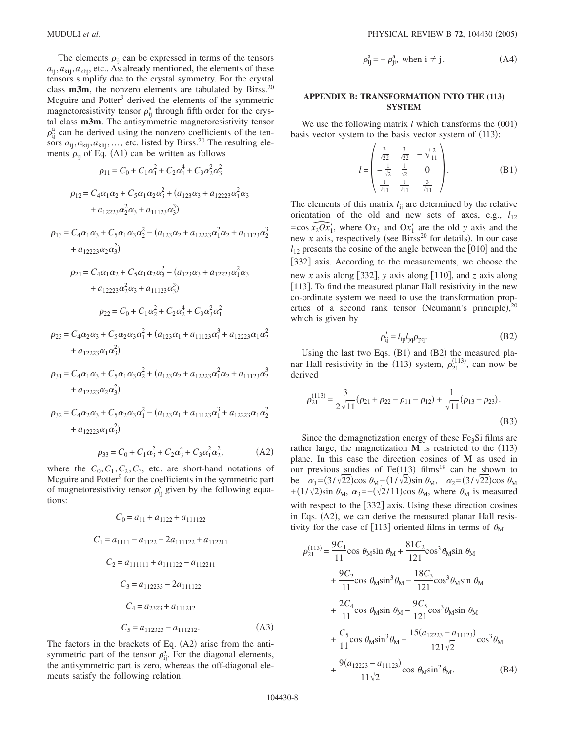The elements  $\rho_{ij}$  can be expressed in terms of the tensors  $a_{ii}, a_{kii}, a_{kiii}$ , etc.. As already mentioned, the elements of these tensors simplify due to the crystal symmetry. For the crystal class **m3m**, the nonzero elements are tabulated by Birss.20 Mcguire and Potter<sup>9</sup> derived the elements of the symmetric magnetoresistivity tensor  $\rho_{ij}^s$  through fifth order for the crystal class **m3m**. The antisymmetric magnetoresistivity tensor  $\rho_{ij}^a$  can be derived using the nonzero coefficients of the tensors  $a_{ij}, a_{kij}, a_{klij}, \ldots$ , etc. listed by Birss.<sup>20</sup> The resulting elements  $\rho_{ij}$  of Eq. (A1) can be written as follows

$$
\rho_{11} = C_0 + C_1 \alpha_1^2 + C_2 \alpha_1^4 + C_3 \alpha_2^2 \alpha_3^2
$$
  

$$
\rho_{12} = C_4 \alpha_1 \alpha_2 + C_5 \alpha_1 \alpha_2 \alpha_3^2 + (a_{123} \alpha_3 + a_{12223} \alpha_1^2 \alpha_3 + a_{12223} \alpha_2^2 \alpha_3 + a_{11123} \alpha_3^3)
$$

$$
\begin{aligned} \rho_{13} & = C_4\alpha_1\alpha_3 + C_5\alpha_1\alpha_3\alpha_2^2 - (a_{123}\alpha_2 + a_{12223}\alpha_1^2\alpha_2 + a_{11123}\alpha_2^3 \\ & + a_{12223}\alpha_2\alpha_3^2) \end{aligned}
$$

$$
\rho_{21} = C_4 \alpha_1 \alpha_2 + C_5 \alpha_1 \alpha_2 \alpha_3^2 - (a_{123} \alpha_3 + a_{12223} \alpha_1^2 \alpha_3 + a_{12223} \alpha_2^2 \alpha_3 + a_{11123} \alpha_3^3)
$$
  

$$
\rho_{22} = C_0 + C_1 \alpha_2^2 + C_2 \alpha_2^4 + C_3 \alpha_3^2 \alpha_1^2
$$

$$
\rho_{23} = C_4 \alpha_2 \alpha_3 + C_5 \alpha_2 \alpha_3 \alpha_1^2 + (a_{123} \alpha_1 + a_{11123} \alpha_1^3 + a_{12223} \alpha_1 \alpha_2^2 + a_{12223} \alpha_1 \alpha_3^2)
$$

$$
\rho_{31} = C_4 \alpha_1 \alpha_3 + C_5 \alpha_1 \alpha_3 \alpha_2^2 + (a_{123} \alpha_2 + a_{12223} \alpha_1^2 \alpha_2 + a_{11123} \alpha_2^3 + a_{12223} \alpha_2 \alpha_3^2)
$$

$$
\rho_{32} = C_4 \alpha_2 \alpha_3 + C_5 \alpha_2 \alpha_3 \alpha_1^2 - (a_{123} \alpha_1 + a_{11123} \alpha_1^3 + a_{12223} \alpha_1 \alpha_2^2 + a_{12223} \alpha_1 \alpha_3^2)
$$

$$
\rho_{33} = C_0 + C_1 \alpha_3^2 + C_2 \alpha_3^4 + C_3 \alpha_1^2 \alpha_2^2, \tag{A2}
$$

where the  $C_0, C_1, C_2, C_3$ , etc. are short-hand notations of Mcguire and Potter<sup>9</sup> for the coefficients in the symmetric part of magnetoresistivity tensor  $\rho_{ij}^s$  given by the following equations:

$$
C_0 = a_{11} + a_{1122} + a_{111122}
$$
  
\n
$$
C_1 = a_{1111} - a_{1122} - 2a_{111122} + a_{112211}
$$
  
\n
$$
C_2 = a_{111111} + a_{111122} - a_{112211}
$$
  
\n
$$
C_3 = a_{112233} - 2a_{111122}
$$
  
\n
$$
C_4 = a_{2323} + a_{111212}
$$
  
\n
$$
C_5 = a_{112323} - a_{111212}.
$$
\n(A3)

The factors in the brackets of Eq. (A2) arise from the antisymmetric part of the tensor  $\rho_{ij}^a$ . For the diagonal elements, the antisymmetric part is zero, whereas the off-diagonal elements satisfy the following relation:

$$
\rho_{ij}^a = -\rho_{ji}^a, \text{ when } i \neq j. \tag{A4}
$$

# **APPENDIX B: TRANSFORMATION INTO THE (113) SYSTEM**

We use the following matrix  $l$  which transforms the  $(001)$ basis vector system to the basis vector system of (113):

$$
l = \begin{pmatrix} \frac{3}{\sqrt{22}} & \frac{3}{\sqrt{22}} & -\sqrt{\frac{2}{11}} \\ -\frac{1}{\sqrt{2}} & \frac{1}{\sqrt{2}} & 0 \\ \frac{1}{\sqrt{11}} & \frac{1}{\sqrt{11}} & \frac{3}{\sqrt{11}} \end{pmatrix}.
$$
 (B1)

The elements of this matrix  $l_{ij}$  are determined by the relative orientation of the old and new sets of axes, e.g.,  $l_{12}$ The elements of this matrix  $l_{ij}$  are determined by the relative<br>orientation of the old and new sets of axes, e.g.,  $l_{12}$ <br>=cos  $\overline{x}_2Ox'_1$ , where  $Ox_2$  and  $Ox'_1$  are the old y axis and the<br>new x axis, respectively (  $\overline{O}_1$ , where  $Ox_2$  and  $Ox_1'$  are the old *y* axis and the  $l_{12}$  presents the cosine of the angle between the  $[010]$  and the [332] axis. According to the measurements, we choose the new *x* axis along [332], *y* axis along [10], and *z* axis along [113]. To find the measured planar Hall resistivity in the new co-ordinate system we need to use the transformation properties of a second rank tensor (Neumann's principle),  $20$ which is given by

$$
\rho'_{ij} = l_{ip} l_{jq} \rho_{pq}.
$$
 (B2)

Using the last two Eqs.  $(B1)$  and  $(B2)$  the measured planar Hall resistivity in the (113) system,  $\rho_{21}^{(113)}$ , can now be derived

$$
\rho_{21}^{(113)} = \frac{3}{2\sqrt{11}} (\rho_{21} + \rho_{22} - \rho_{11} - \rho_{12}) + \frac{1}{\sqrt{11}} (\rho_{13} - \rho_{23}).
$$
\n(B3)

Since the demagnetization energy of these  $Fe<sub>3</sub>Si$  films are rather large, the magnetization  $M$  is restricted to the  $(113)$ plane. In this case the direction cosines of **M** as used in our previous studies of  $Fe(113)$  films<sup>19</sup> can be shown to be  $\alpha_1 = (3/\sqrt{22})\cos \theta_M - (1/\sqrt{2})\sin \theta_M$ ,  $\alpha_2 = (3/\sqrt{22})\cos \theta_M$ +(1/ $\sqrt{2}$ )sin  $\theta_M$ ,  $\alpha_3 = -(\sqrt{2}/11)$ cos  $\theta_M$ , where  $\theta_M$  is measured with respect to the [332] axis. Using these direction cosines in Eqs. (A2), we can derive the measured planar Hall resistivity for the case of [113] oriented films in terms of  $\theta_M$ 

$$
\rho_{21}^{(113)} = \frac{9C_1}{11} \cos \theta_M \sin \theta_M + \frac{81C_2}{121} \cos^3 \theta_M \sin \theta_M
$$
  
+ 
$$
\frac{9C_2}{11} \cos \theta_M \sin^3 \theta_M - \frac{18C_3}{121} \cos^3 \theta_M \sin \theta_M
$$
  
+ 
$$
\frac{2C_4}{11} \cos \theta_M \sin \theta_M - \frac{9C_5}{121} \cos^3 \theta_M \sin \theta_M
$$
  
+ 
$$
\frac{C_5}{11} \cos \theta_M \sin^3 \theta_M + \frac{15(a_{12223} - a_{11123})}{121\sqrt{2}} \cos^3 \theta_M
$$
  
+ 
$$
\frac{9(a_{12223} - a_{11123})}{11\sqrt{2}} \cos \theta_M \sin^2 \theta_M.
$$
 (B4)